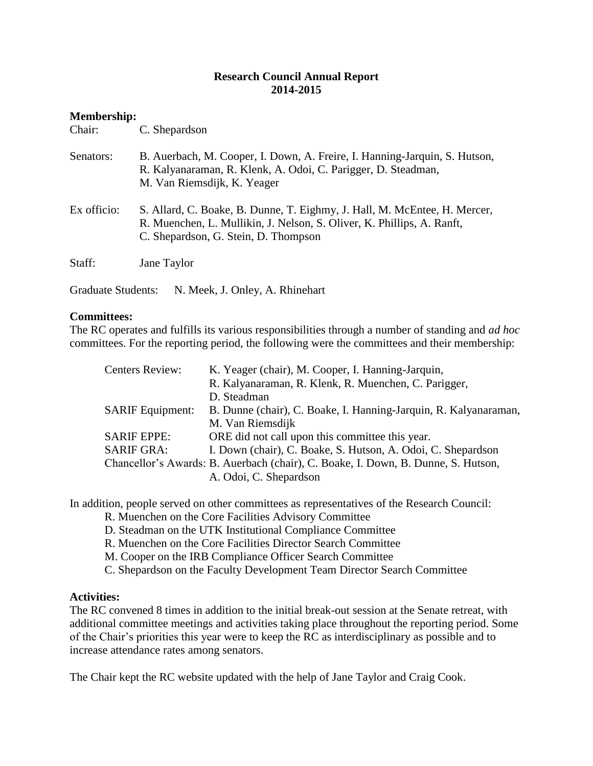### **Research Council Annual Report 2014-2015**

# **Membership:**

| Chair:      | C. Shepardson                                                                                                                                                                               |
|-------------|---------------------------------------------------------------------------------------------------------------------------------------------------------------------------------------------|
| Senators:   | B. Auerbach, M. Cooper, I. Down, A. Freire, I. Hanning-Jarquin, S. Hutson,<br>R. Kalyanaraman, R. Klenk, A. Odoi, C. Parigger, D. Steadman,<br>M. Van Riemsdijk, K. Yeager                  |
| Ex officio: | S. Allard, C. Boake, B. Dunne, T. Eighmy, J. Hall, M. McEntee, H. Mercer,<br>R. Muenchen, L. Mullikin, J. Nelson, S. Oliver, K. Phillips, A. Ranft,<br>C. Shepardson, G. Stein, D. Thompson |
| Staff:      | Jane Taylor                                                                                                                                                                                 |

Graduate Students: N. Meek, J. Onley, A. Rhinehart

### **Committees:**

The RC operates and fulfills its various responsibilities through a number of standing and *ad hoc* committees. For the reporting period, the following were the committees and their membership:

| <b>Centers Review:</b>  | K. Yeager (chair), M. Cooper, I. Hanning-Jarquin,                                 |
|-------------------------|-----------------------------------------------------------------------------------|
|                         | R. Kalyanaraman, R. Klenk, R. Muenchen, C. Parigger,                              |
|                         | D. Steadman                                                                       |
| <b>SARIF Equipment:</b> | B. Dunne (chair), C. Boake, I. Hanning-Jarquin, R. Kalyanaraman,                  |
|                         | M. Van Riemsdijk                                                                  |
| <b>SARIF EPPE:</b>      | ORE did not call upon this committee this year.                                   |
| <b>SARIF GRA:</b>       | I. Down (chair), C. Boake, S. Hutson, A. Odoi, C. Shepardson                      |
|                         | Chancellor's Awards: B. Auerbach (chair), C. Boake, I. Down, B. Dunne, S. Hutson, |
|                         | A. Odoi, C. Shepardson                                                            |

In addition, people served on other committees as representatives of the Research Council:

- R. Muenchen on the Core Facilities Advisory Committee
- D. Steadman on the UTK Institutional Compliance Committee
- R. Muenchen on the Core Facilities Director Search Committee
- M. Cooper on the IRB Compliance Officer Search Committee

C. Shepardson on the Faculty Development Team Director Search Committee

### **Activities:**

The RC convened 8 times in addition to the initial break-out session at the Senate retreat, with additional committee meetings and activities taking place throughout the reporting period. Some of the Chair's priorities this year were to keep the RC as interdisciplinary as possible and to increase attendance rates among senators.

The Chair kept the RC website updated with the help of Jane Taylor and Craig Cook.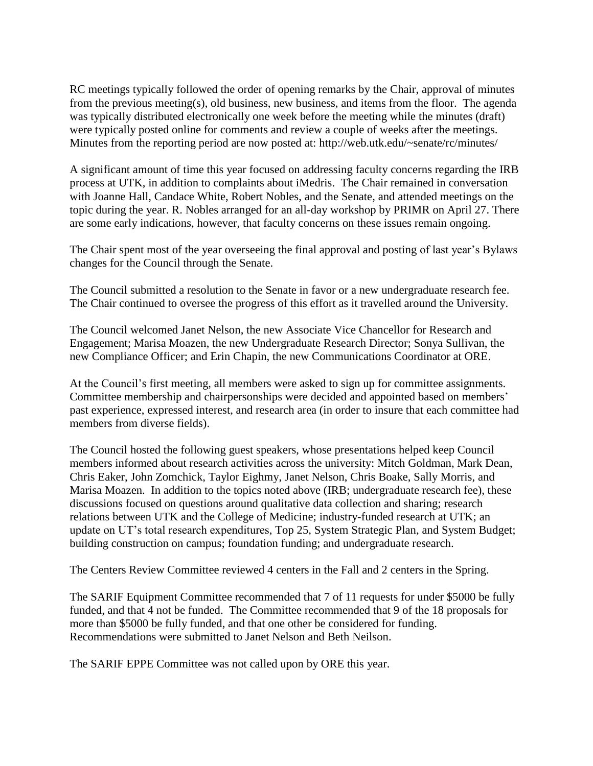RC meetings typically followed the order of opening remarks by the Chair, approval of minutes from the previous meeting(s), old business, new business, and items from the floor. The agenda was typically distributed electronically one week before the meeting while the minutes (draft) were typically posted online for comments and review a couple of weeks after the meetings. Minutes from the reporting period are now posted at: http://web.utk.edu/~senate/rc/minutes/

A significant amount of time this year focused on addressing faculty concerns regarding the IRB process at UTK, in addition to complaints about iMedris. The Chair remained in conversation with Joanne Hall, Candace White, Robert Nobles, and the Senate, and attended meetings on the topic during the year. R. Nobles arranged for an all-day workshop by PRIMR on April 27. There are some early indications, however, that faculty concerns on these issues remain ongoing.

The Chair spent most of the year overseeing the final approval and posting of last year's Bylaws changes for the Council through the Senate.

The Council submitted a resolution to the Senate in favor or a new undergraduate research fee. The Chair continued to oversee the progress of this effort as it travelled around the University.

The Council welcomed Janet Nelson, the new Associate Vice Chancellor for Research and Engagement; Marisa Moazen, the new Undergraduate Research Director; Sonya Sullivan, the new Compliance Officer; and Erin Chapin, the new Communications Coordinator at ORE.

At the Council's first meeting, all members were asked to sign up for committee assignments. Committee membership and chairpersonships were decided and appointed based on members' past experience, expressed interest, and research area (in order to insure that each committee had members from diverse fields).

The Council hosted the following guest speakers, whose presentations helped keep Council members informed about research activities across the university: Mitch Goldman, Mark Dean, Chris Eaker, John Zomchick, Taylor Eighmy, Janet Nelson, Chris Boake, Sally Morris, and Marisa Moazen. In addition to the topics noted above (IRB; undergraduate research fee), these discussions focused on questions around qualitative data collection and sharing; research relations between UTK and the College of Medicine; industry-funded research at UTK; an update on UT's total research expenditures, Top 25, System Strategic Plan, and System Budget; building construction on campus; foundation funding; and undergraduate research.

The Centers Review Committee reviewed 4 centers in the Fall and 2 centers in the Spring.

The SARIF Equipment Committee recommended that 7 of 11 requests for under \$5000 be fully funded, and that 4 not be funded. The Committee recommended that 9 of the 18 proposals for more than \$5000 be fully funded, and that one other be considered for funding. Recommendations were submitted to Janet Nelson and Beth Neilson.

The SARIF EPPE Committee was not called upon by ORE this year.